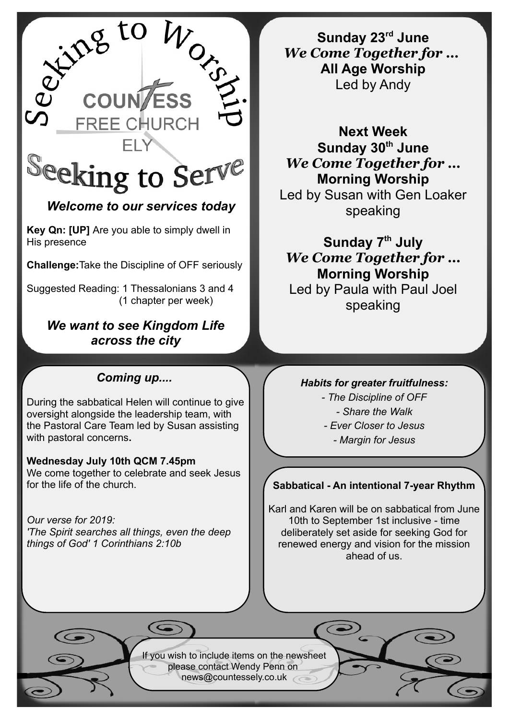

# *Welcome to our services today*

**Key Qn: [UP]** Are you able to simply dwell in His presence

**Challenge:**Take the Discipline of OFF seriously

Suggested Reading: 1 Thessalonians 3 and 4 (1 chapter per week)

## *We want to see Kingdom Life across the city*

# *Coming up....*

During the sabbatical Helen will continue to give oversight alongside the leadership team, with the Pastoral Care Team led by Susan assisting with pastoral concerns**.**

#### **Wednesday July 10th QCM 7.45pm**  We come together to celebrate and seek Jesus for the life of the church.

*Our verse for 2019: 'The Spirit searches all things, even the deep things of God' 1 Corinthians 2:10b*

**Sunday 23rd June** *We Come Together for …*  **All Age Worship** Led by Andy

**Next Week Sunday 30th June** *We Come Together for …* **Morning Worship** Led by Susan with Gen Loaker

speaking

**Sunday 7th July** *We Come Together for …* **Morning Worship** Led by Paula with Paul Joel

speaking

### *Habits for greater fruitfulness:*

*- The Discipline of OFF - Share the Walk - Ever Closer to Jesus*

*- Margin for Jesus*

### **Sabbatical - An intentional 7-year Rhythm**

Karl and Karen will be on sabbatical from June 10th to September 1st inclusive - time deliberately set aside for seeking God for renewed energy and vision for the mission ahead of us.

If you wish to include items on the newsheet please contact Wendy Penn on [news@countessely.co.uk](mailto:news@countessely.co.uk)